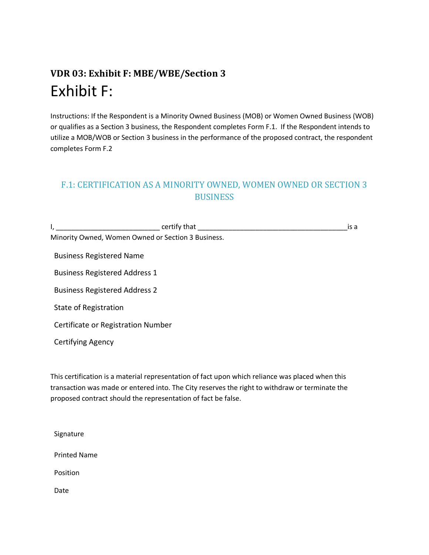## **VDR 03: Exhibit F: MBE/WBE/Section 3** Exhibit F:

Instructions: If the Respondent is a Minority Owned Business (MOB) or Women Owned Business (WOB) or qualifies as a Section 3 business, the Respondent completes Form F.1. If the Respondent intends to utilize a MOB/WOB or Section 3 business in the performance of the proposed contract, the respondent completes Form F.2

## F.1: CERTIFICATION AS A MINORITY OWNED, WOMEN OWNED OR SECTION 3 **BUSINESS**

I, \_\_\_\_\_\_\_\_\_\_\_\_\_\_\_\_\_\_\_\_\_\_\_\_\_\_\_ certify that \_\_\_\_\_\_\_\_\_\_\_\_\_\_\_\_\_\_\_\_\_\_\_\_\_\_\_\_\_\_\_\_\_\_\_\_\_\_\_is a Minority Owned, Women Owned or Section 3 Business.

Business Registered Name

Business Registered Address 1

Business Registered Address 2

State of Registration

Certificate or Registration Number

Certifying Agency

This certification is a material representation of fact upon which reliance was placed when this transaction was made or entered into. The City reserves the right to withdraw or terminate the proposed contract should the representation of fact be false.

Signature Printed Name Position

Date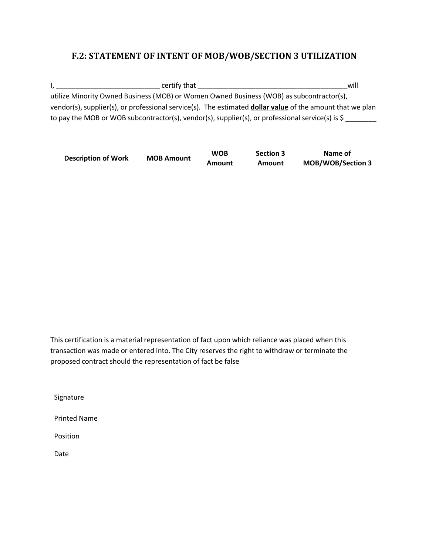## **F.2: STATEMENT OF INTENT OF MOB/WOB/SECTION 3 UTILIZATION**

I, \_\_\_\_\_\_\_\_\_\_\_\_\_\_\_\_\_\_\_\_\_\_\_\_\_\_\_ certify that \_\_\_\_\_\_\_\_\_\_\_\_\_\_\_\_\_\_\_\_\_\_\_\_\_\_\_\_\_\_\_\_\_\_\_\_\_\_\_will utilize Minority Owned Business (MOB) or Women Owned Business (WOB) as subcontractor(s), vendor(s), supplier(s), or professional service(s). The estimated **dollar value** of the amount that we plan to pay the MOB or WOB subcontractor(s), vendor(s), supplier(s), or professional service(s) is \$

| <b>Description of Work</b> | <b>MOB Amount</b> | <b>WOB</b> | <b>Section 3</b> | Name of                  |
|----------------------------|-------------------|------------|------------------|--------------------------|
|                            |                   | Amount     | Amount           | <b>MOB/WOB/Section 3</b> |

This certification is a material representation of fact upon which reliance was placed when this transaction was made or entered into. The City reserves the right to withdraw or terminate the proposed contract should the representation of fact be false

Signature

Printed Name

Position

Date